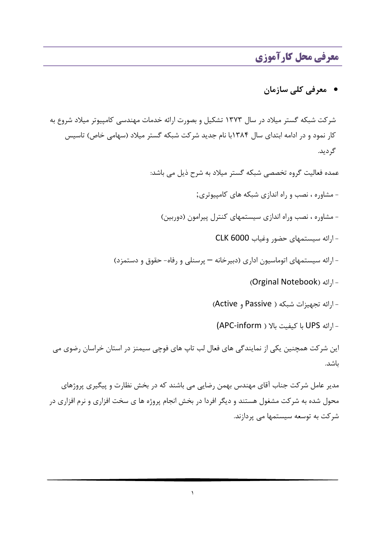# معرفي محل كارآموزي

# • معرفی کلی سازمان

شرکت شبکه گستر میلاد در سال ۱۳۷۳ تشکیل و بصورت ارائه خدمات مهندسی کامپیوتر میلاد شروع به کار نمود و در ادامه ابتدای سال ۱۳۸۴با نام جدید شرکت شبکه گستر میلاد (سهامی خاص) تاسیس گر دید.

عمده فعالیت گروه تخصصی شبکه گستر میلاد به شرح ذیل می باشد:

- مشاوره ، نصب و راه اندازی شبکه های کامپیوتری;

- مشاوره ، نصب وراه اندازی سیستمهای کنترل پیرامون (دوربین)

- ارائه سيستمهاى حضور وغياب CLK 6000
- ارائه سیستمهای اتوماسیون اداری (دبیرخانه پرسنلی و رفاه- حقوق و دستمزد)
	- ا<sub>ر</sub>ائه (Orginal Notebook)
	- ارائه تجهيزات شبكه ( Passive و Active)
	- ارائه UPS با كيفيت بالا ( APC-inform)

این شرکت همچنین یکی از نمایندگی های فعال لب تاپ های فوچی سیمنز در استان خراسان رضوی می باشد.

مدیر عامل شرکت جناب آقای مهندس بهمن رضایی می باشند که در بخش نظارت و پیگیری پروژهای محول شده به شرکت مشغول هستند و دیگر افردا در بخش انجام پروژه ها ی سخت افزاری و نرم افزاری در شر کت به توسعه سیستمها می پردازند.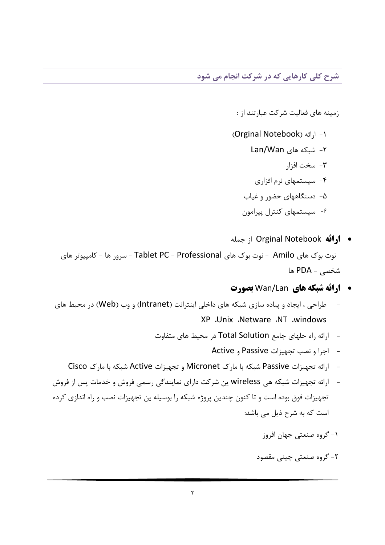شرح کلی کارهایی که در شرکت انجام می شود

زمینه های فعالیت شرکت عبارتند از :

- (Orginal Notebook) ارائه ۲- شبکه های Lan/Wan ٣- سخت افزار ۴- سیستمهای نرم افزاری
	- ۵- دستگاههای حضور و غیاب
	- ۰۶ سیستمهای کنترل پیرامون
- ارائه Orginal Notebook از جمله نوت ہوک ھای Amilo - نوت ہوک ھای Tablet PC - Professional - سرور ھا - کامپیوتر ھای شخصی - PDA ها
	- ارائه شبكه هاي Wan/Lan بصورت
- طراحی ، ایجاد و پیاده سازی شبکه های داخلی اینترانت (Intranet) و وب (Web) در محیط های XP .Unix .Netware .NT .windows
	- ارائه راه حلهای جامع Total Solution در محیط های متفاوت
		- اجرا و نصب تجهيزات Passive و Active
	- ارائه تجهیزات Passive شبکه با مارک Micronet و تجهیزات Active شبکه با مارک Cisco
- ارائه تجهیزات شبکه هی wireless ین شرکت دارای نمایندگی رسمی فروش و خدمات پس از فروش تجهیزات فوق بوده است و تا کنون چندین پروژه شبکه را بوسیله ین تجهیزات نصب و راه اندازی کرده است که به شرح ذیل می باشد:

#### ۱- گروه صنعتی جهان افروز

۲- گروہ صنعتی چینی مقصود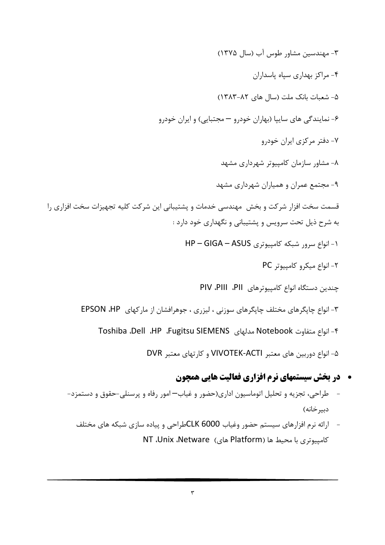۳- مهندسین مشاور طوس آب (سال ۱۳۷۵) ۴- مراکز بهداری سیاه پاسداران ۵- شعبات بانک ملت (سال های ۸۲-۱۳۸۳) ۶- نمایندگی های سایپا (بهاران خودرو — مجتبایی) و ایران خودرو ۷- دفتر مرکزی ایران خودرو ۸- مشاور سازمان کامپیوتر شهرداری مشهد ۹- مجتمع عمران و همیاران شهرداری مشهد قسمت سخت افزار شرکت و بخش ٍ مهندسی خدمات و پشتیبانی این شرکت کلیه تجهیزات سخت افزاری را به شرح ذیل تحت سرویس و پشتیبانی و نگهداری خود دارد : ١- انواع سرور شبكه كامپيوتري HP - GIGA - ASUS ٢- انواع ميكرو كامييوتر PC چندین دستگاه انواع کامپیوترهای PII، PIII، PII ۳- انواع چاپگرهای مختلف چاپگرهای سوزنی ، لیزری ، جوهرافشان از مارکهای EPSON ،HP ۴- انواع متفاوت Notebook مدلهاى HP ،Fugitsu SIEMENS، مدلهاى Toshiba ،Dell ۵- انواع دوربین های معتبر VIVOTEK-ACTI و کارتهای معتبر DVR

- **۰ در بخش سیستمهای نرم افزاری فعالیت هایی همچون**
- طراحی، تجزیه و تحلیل اتوماسیون اداری(حضور و غیاب—امور رفاه و پرسنلی-حقوق و دستمزد-دبير خانه)
	- ارائه نرم افزارهای سیستم حضور وغیاب CLK 6000طراحی و پیاده سازی شبکه های مختلف كامپيوتري با محيط ها (Platform هاي) NT ،Unix ،Netware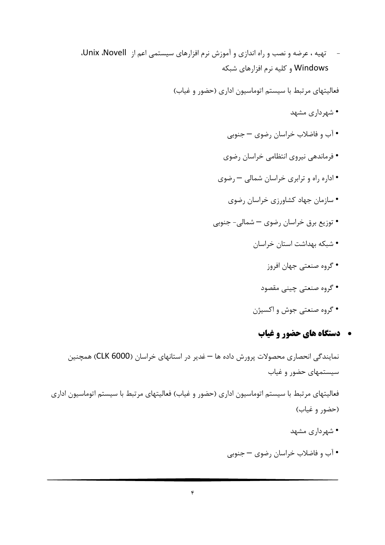تهیه ، عرضه و نصب و راه اندازی و آموزش نرم افزارهای سیستمی اعم از Unix ،Novell، Windows و کلیه نرم افزارهای شبکه

فعالیتهای مرتبط با سیستم اتوماسیون اداری (حضور و غیاب)

- شهرداری مشهد
- آب و فاضلاب خراسان رضوی جنوبی
- فرماندهی نیروی انتظامی خراسان رضوی
- اداره راه و ترابری خراسان شمالی رضوی
	- سازمان جهاد کشاورزی خراسان رضوی
- توزیع برق خراسان رضوی شمالی- جنوبی
	- شبکه بهداشت استان خراسان
		- گروہ صنعتی جھان افروز
		- گروه صنعتی چینی مقصود
	- گروه صنعتي جوش و اکسيژن

## **. دستگاه های حضور و غیاب**

نمایندگی انحصاری محصولات پرورش داده ها — غدیر در استانهای خراسان (CLK 6000) همچنین سیستمهای حضور و غیاب

فعالیتهای مرتبط با سیستم اتوماسیون اداری (حضور و غیاب) فعالیتهای مرتبط با سیستم اتوماسیون اداری (حضور و غياب)

- شهرداري مشهد
- آب و فاضلاب خراسان رضوی جنوبی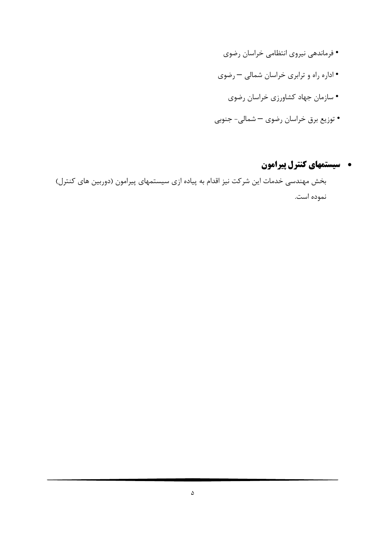- فرماندهي نيروي انتظامي خراسان رضوي • اداره راه و ترابري خراسان شمالي – رضوي • سازمان جهاد كشاورزي خراسان رضوي
- توزیع برق خراسان رضوی شمالی- جنوبی

## **. سیستمهای کنترل پیرامون**

بخش مهندسی خدمات این شرکت نیز اقدام به پیاده ازی سیستمهای پیرامون (دوربین های کنترل) نموده است.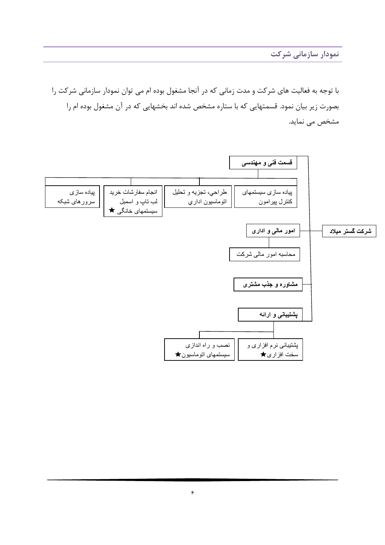نمودار سازمانی شرکت

با توجه به فعالیت های شرکت و مدت زمانی که در آنجا مشغول بوده ام می توان نمودار سازمانی شرکت را بصورت زیر بیان نمود. قسمتهایی که با ستاره مشخص شده اند بخشهایی که در آن مشغول بوده ام را مشخص می نماید.

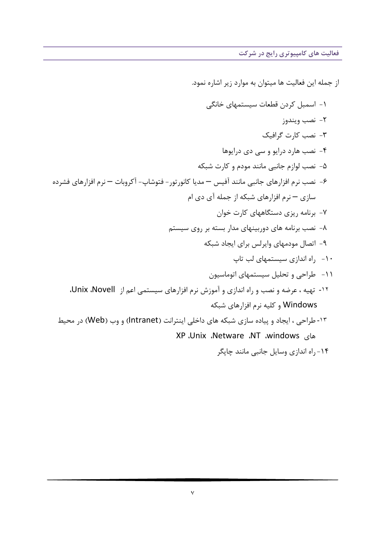فعالیت های کامپیوتری رایج در شرکت

از جمله این فعالیت ها میتوان به موارد زیر اشاره نمود. ١- اسمبل کردن قطعات سیستمهای خانگی ٢- نصب ويندوز ٣- نصب كارت گرافيك ۴- نصب هارد درايو و سي دي درايوها ۵– نصب لوازم جانبي مانند مودم و کارت شبکه ۶– نصب نرم افزارهای جانبی مانند آفیس — مدیا کانورتور – فتوشاپ– آکروبات — نرم افزارهای فشرده سازی — نرم افزارهای شبکه از جمله آی دی ام ۷- برنامه ریزی دستگاههای کارت خوان ۸- نصب برنامه های دوربینهای مدار بسته بر روی سیستم ۹- اتصال مودمهای وایرلس برای ایجاد شبکه ۱۰ - ۱۰ اندازی سیستمهای لب تاپ ۱۱- طراحی و تحلیل سیستمهای اتوماسیون <sup>11</sup>- تهیه ، عرضه و نصب و راه اندازی و آموزش نرم افزارهای سیستمی اعم از Unix ،Novell، Windows و کلیه نرم افزارهای شبکه ۱۳- طراحی ، ایجاد و پیاده سازی شبکه های داخلی اینترانت (Intranet) و وب (Web) در محیط AL .Unix .Netware .NT .windows ۱۴- راه اندازی وسایل جانبی مانند چایگر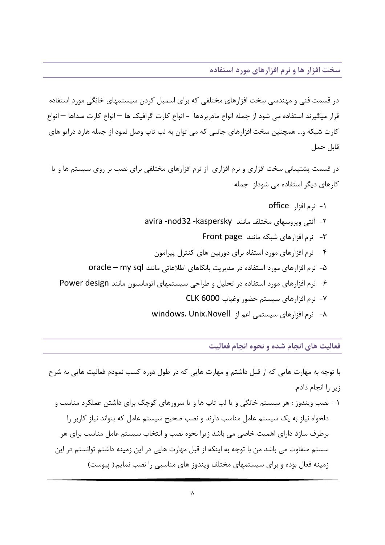در قسمت فنی و مهندسی سخت افزارهای مختلفی که برای اسمبل کردن سیستمهای خانگی مورد استفاده قرار میگیرند استفاده می شود از جمله انواع مادربردها – انواع کارت گرافیک ها — انواع کارت صداها — انواع کارت شبکه و… همچنین سخت افزارهای جانبی که می توان به لب تاپ وصل نمود از جمله هارد درایو های قابل حمل

در قسمت پشتیبانی سخت افزاری و نرم افزاری از نرم افزارهای مختلفی برای نصب بر روی سیستم ها و یا کارهای دیگر استفاده مے شوداز جمله

فعالیت های انجام شده و نحوه انجام فعالیت

با توجه به مهارت هایی که از قبل داشتم و مهارت هایی که در طول دوره کسب نمودم فعالیت هایی به شرح زير را انجام دادم.

۱- نصب ویندوز : هر سیستم خانگی و یا لب تاپ ها و یا سرورهای کوچک برای داشتن عملکرد مناسب و دلخواه نیاز به یک سیستم عامل مناسب دارند و نصب صحیح سیستم عامل که بتواند نیاز کاربر را برطرف سازد دارای اهمیت خاصی می باشد زیرا نحوه نصب و انتخاب سیستم عامل مناسب برای هر سستم متفاوت می باشد من با توجه به اینکه از قبل مهارت هایی در این زمینه داشتم توانستم در این زمینه فعال بوده و برای سیستمهای مختلف ویندوز های مناسبی را نصب نمایم.( پیوست)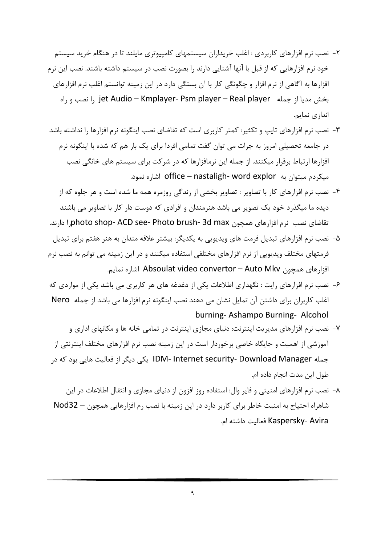- ۲– نصب نرم افزارهای کاربردی : اغلب خریداران سیستمهای کامپیوتری مایلند تا در هنگام خرید سیستم خود نرم افزارهایی که از قبل با آنها آشنایی دارند را بصورت نصب در سیستم داشته باشند. نصب این نرم افزارها به آگاهی از نرم افزار و چگونگی کار با آن بستگی دارد در این زمینه توانستم اغلب نرم افزارهای بخش مديا از جمله jet Audio – Kmplayer- Psm player – Real player را نصب و راه اندازی نمایم.
- ۳- نصب نرم افزارهای تایپ و تکثیر: کمتر کاربری است که تقاضای نصب اینگونه نرم افزارها را نداشته باشد در جامعه تحصیلی امروز به جرات می توان گفت تمامی افردا برای یک بار هم که شده با اینگونه نرم افزارها ارتباط برقرار میکنند. از جمله این نرمافزارها که در شرکت برای سیستم های خانگی نصب میکردم میتوان به office – nastaligh- word explor اشاره نمود.
- ۴- نصب نرم افزارهای کار با تصاویر : تصاویر بخشی از زندگی روزمره همه ما شده است و هر جلوه که از دیده ما میگذرد خود یک تصویر می باشد هنرمندان و افرادی که دوست دار کار با تصاویر می باشند تقاضاي نصب نرم افزارهاي همچون Jphoto shop- ACD see- Photo brush- 3d max ا دارند.
- ۵– نصب نرم افزارهای تبدیل فرمت های ویدیویی به یکدیگر: بیشتر علاقه مندان به هنر هفتم برای تبدیل فرمتهای مختلف ویدیویی از نرم افزارهای مختلفی استفاده میکنند و در این زمینه می توانم به نصب نرم افزارهای همچون Absoulat video convertor – Auto Mkv اشاره نمایم.
- ۶- نصب نرم افزارهای رایت : نگهداری اطلاعات یکی از دغدغه های هر کاربری می باشد یکی از مواردی که اغلب کاربران برای داشتن آن تمایل نشان می دهند نصب اینگونه نرم افزارها می باشد از جمله Nero burning-Ashampo Burning-Alcohol
- ۷- نصب نرم افزارهای مدیریت اینترنت: دنیای مجازی اینترنت در تمامی خانه ها و مکانهای اداری و آموزشی از اهمیت و جایگاه خاصی برخوردار است در این زمینه نصب نرم افزارهای مختلف اینترنتی از جمله IDM- Internet security- Download Manager یکی دیگر از فعالیت هایی بود که در طول اين مدت انجام داده ام.
- ۸- نصب نرم افزارهای امنیتی و فایر وال: استفاده روز افزون از دنیای مجازی و انتقال اطلاعات در این شاهراه احتیاج به امنیت خاطر برای کاربر دارد در این زمینه با نصب رم افزارهایی همچون – Nod32 Kaspersky- Avira فعاليت داشته ام.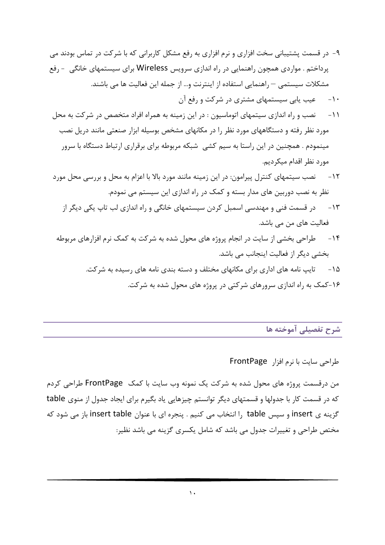- ۹- در قسمت پشتیبانی سخت افزاری و نرم افزاری به رفع مشکل کاربرانی که با شرکت در تماس بودند می پرداختم . مواردی همچون راهنمایی در راه اندازی سرویس Wireless برای سیستمهای خانگی  $_2$ رفع مشكلات سيستمى — راهنمايي استفاده از اينترنت و… از جمله اين فعاليت ها مي باشند.
	- ۱۰- میب پابی سیستمهای مشتری در شرکت و رفع آن
- ۱۱- نصب و راه اندازی سیتمهای اتوماسیون : در این زمینه به همراه افراد متخصص در شرکت به محل مورد نظر رفته و دستگاههای مورد نظر را در مکانهای مشخص بوسیله ابزار صنعتی مانند دریل نصب مینمودم . همچنین در این راستا به سیم کشی شبکه مربوطه برای برقراری ارتباط دستگاه با سرور مورد نظر اقدام میکردیم.
- ۱۲- منصب سیتمهای کنترل پیرامون: در این زمینه مانند مورد بالا با اعزام به محل و بررسی محل مورد نظر به نصب دوربین های مدار بسته و کمک در راه اندازی این سیستم می نمودم.
	- ۱۳- در قسمت فنی و مهندسی اسمبل کردن سیستمهای خانگی و راه اندازی لب تاپ یکی دیگر از فعالیت های من می باشد.
- ۱۴ مطراحی بخشی از سایت در انجام پروژه های محول شده به شرکت به کمک نرم افزارهای مربوطه بخشی دیگر از فعالیت اینجانب می باشد.
	- ۱۵– تایپ نامه های اداری برای مکانهای مختلف و دسته بندی نامه های رسیده به شرکت. ۱۶-کمک به راه اندازی سرورهای شرکتی در پروژه های محول شده به شرکت.

شرح تفصیلی آموخته ها

طراحی سایت با نرم افزار FrontPage

من درقسمت پروژه های محول شده به شرکت یک نمونه وب سایت با کمک FrontPage طراحی کردم که در قسمت کار با جدولها و قسمتهای دیگر توانستم چیزهایی یاد بگیرم برای ایجاد جدول از منوی table گزینه ی insert و سپس table را انتخاب می کنیم . پنجره ای با عنوان insert table باز می شود که مختص طراحی و تغییرات جدول می باشد که شامل یکسری گزینه می باشد نظیر: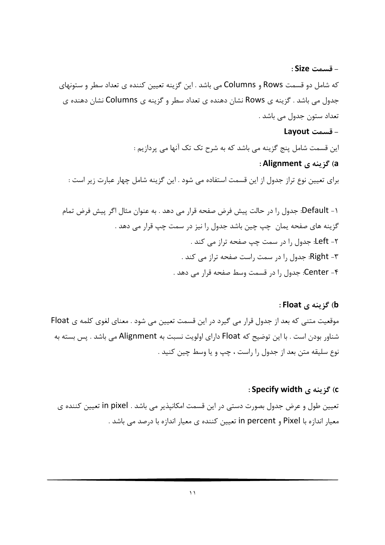– قسمت Size : که شامل دو قسمت Rows و Columns می باشد . این گزینه تعیین کننده ی تعداد سطر و ستونهای جدول می باشد . گزینه ی Rows نشان دهنده ی تعداد سطر و گزینه ی Columns نشان دهنده ی تعداد ستون جدول مي باشد .

## - قسمت Layout

این قسمت شامل پنج گزینه می باشد که به شرح تک تک آنها می پردازیم : a) گزينه ي Alignment :

### برای تعیین نوع تراز جدول از این قسمت استفاده می شود . این گزینه شامل چهار عبارت زیر است :

#### b) گزينه ي Float :

موقعیت متنی که بعد از جدول قرار می گیرد در این قسمت تعیین می شود . معنای لغوی کلمه ی Float شناور بودن است . با این توضیح که Float دارای اولویت نسبت به Alignment می باشد . پس بسته به نوع سليقه متن بعد از جدول را راست ، چپ و يا وسط چين كنيد .

#### c) گز بنه ی Specify width :

تعيين طول و عرض جدول بصورت دستي در اين قسمت امكانپذير مي باشد . in pixel تعيين كننده ي معیار اندازه با Pixel و in percent تعیین کننده ی معیار اندازه با درصد می باشد .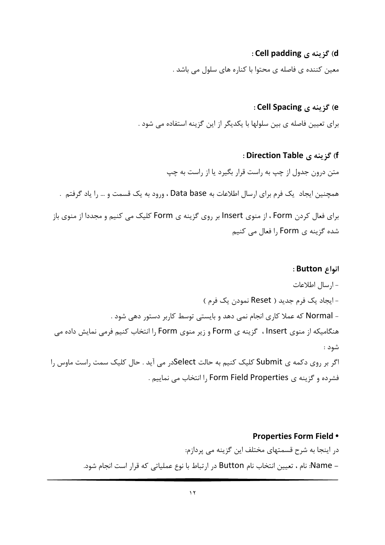#### d) گڼ بنه ي Cell padding :

معین کننده ی فاصله ی محتوا با کناره های سلول می باشد .

#### e) گڼ پنه ي Cell Spacing :

برای تعیین فاصله ی بین سلولها با یکدیگر از این گزینه استفاده می شود .

#### f) گزينه ي Direction Table :

متن درون جدول از چپ به راست قرار بگیرد یا از راست به چپ

همچنین ایجاد یک فرم برای ارسال اطلاعات به Data base ، ورود به یک قسمت و … را یاد گرفتم .

برای فعال کردن Form ، از منوی Insert بر روی گزینه ی Form کلیک می کنیم و مجددا از منوی باز شدہ گزینه ی Form ,ا فعال می کنیم

#### : انواع Button :

– ارسال اطلاعات - ایجاد یک فرم جدید ( Reset نمودن یک فرم ) - Normal که عملا کاری انجام نمی دهد و بایستی توسط کاربر دستور دهی شود . هنگامیکه از منوی Insert ، گزینه ی Form و زیر منوی Form را انتخاب کنیم فرمی نمایش داده می شود : اگر بر روی دکمه ی Submit کلیک کنیم به حالت Selectدر می آید . حال کلیک سمت راست ماوس را فشرده و گزینه ی Form Field Properties را انتخاب می نماییم .

# **Properties Form Field .** در اینجا به شرح قسمتهای مختلف این گزینه می پردازم:

– Name: نام ، تعيين انتخاب نام Button در ارتباط با نوع عملياتي كه قرار است انجام شود.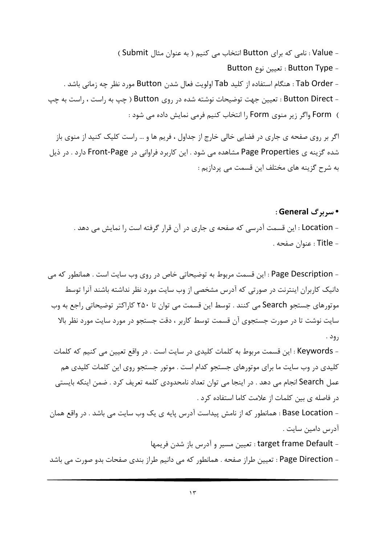- Value : نامی که برای Button انتخاب می کنیم ( به عنوان مثال Submit ) - Button Type : تعيين نوع Button - Tab Order : هنگام استفاده از کلید Tab اولویت فعال شدن Button مورد نظر چه زمانی باشد . - Button Direct : تعيين جهت توضيحات نوشته شده در روى Button ( چپ به راست ، راست به چپ ) Form واگر زیر منوی Form را انتخاب کنیم فرمی نمایش داده می شود :

اگر بر روی صفحه ی جاری در فضایی خالی خارج از جداول ، فریم ها و … راست کلیک کنید از منوی باز شده گزینه ی Page Properties مشاهده می شود . این کاربرد فراوانی در Front-Page دارد . در ذیل به شرح گزينه هاي مختلف اين قسمت مي پردازيم :

- Location : این قسمت آدرسی که صفحه ی جاری در آن قرار گرفته است را نمایش می دهد . - Title : عنوان صفحه .

• سربرگ General :

- Page Description : این قسمت مربوط به توضیحاتی خاص در روی وب سایت است . همانطور که می دانیک کاربران اینترنت در صورتی که آدرس مشخصی از وب سایت مورد نظر نداشته باشند آنرا توسط موتورهای جستجو Search می کنند . توسط این قسمت می توان تا ۲۵۰ کاراکتر توضیحاتی راجع به وب سایت نوشت تا در صورت جستجوی آن قسمت توسط کاربر ، دقت جستجو در مورد سایت مورد نظر بالا , ود .

- Keywords : این قسمت مربوط به کلمات کلیدی در سایت است . در واقع تعیین می کنیم که کلمات کلیدی در وب سایت ما برای موتورهای جستجو کدام است . موتور جستجو روی این کلمات کلیدی هم عمل Search انجام می دهد . در اینجا می توان تعداد نامحدودی کلمه تعریف کرد . ضمن اینکه بایستی در فاصله ی بین کلمات از علامت کاما استفاده کرد .

- Base Location : همانطور که از نامش پیداست آدرس پایه ی یک وب سایت می باشد . در واقع همان آدرس دامین سایت .

- target frame Default : تعيين مسير و آدرس باز شدن فريمها

- Page Direction : تعيين طراز صفحه . همانطور كه مي دانيم طراز بندي صفحات بدو صورت مي باشد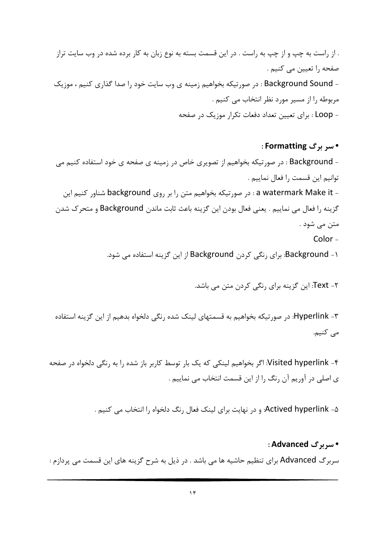. از راست به چپ و از چپ به راست . در این قسمت بسته به نوع زبان به کار برده شده در وب سایت تراز صفحه ,ا تعیین می کنیم . - Background Sound : در صورتيكه بخواهيم زمينه ي وب سايت خود را صدا گذاري كنيم ، موزيك مربوطه را از مسیر مورد نظر انتخاب می کنیم . - Loop : برای تعیین تعداد دفعات تکرار موزیک در صفحه

• سر برگ Formatting : - Background : در صورتیکه بخواهیم از تصویری خاص در زمینه ی صفحه ی خود استفاده کنیم می توانيم اين قسمت ,ا فعال نماييم . - a watermark Make it : در صورتيكه بخواهيم متن را بر روى background شناور كنيم اين گزينه را فعال مي نماييم . يعني فعال بودن اين گزينه باعث ثابت ماندن Background و متحرك شدن متن مے شود . Color-

۱- Background: برای رنگی کردن Background از این گزینه استفاده می شود.

۲- Text: این گزینه برای رنگی کردن متن می باشد.

۳- Hyperlink: در صورتیکه بخواهیم به قسمتهای لینک شده رنگی دلخواه بدهیم از این گزینه استفاده می کنیم.

Visited hyperlink -۴: اگر بخواهیم لینکی که یک بار توسط کاربر باز شده را به رنگی دلخواه در صفحه ی اصلی در آوریم آن رنگ را از این قسمت انتخاب می نماییم .

Actived hyperlink -۵: و در نهایت برای لینک فعال رنگ دلخواه را انتخاب می کنیم .

#### • سربرگ Advanced :

سربرگ Advanced برای تنظیم حاشیه ها می باشد . در ذیل به شرح گزینه های این قسمت می پردازم :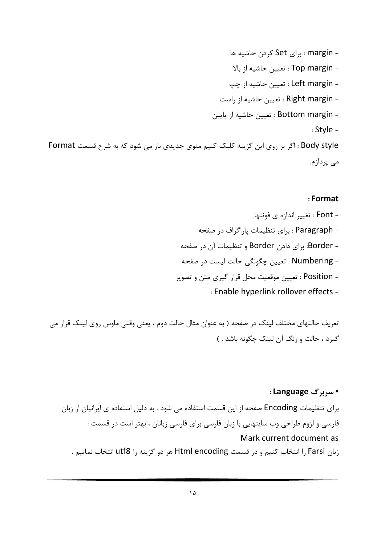– margin : برای Set کردن حاشیه ها - Top margin : تعيين حاشيه از بالا - Left margin : تعيين حاشيه از چپ - Right margin : تعيين حاشيه از راست - Bottom margin : تعيين حاشيه از يايين  $:$  Style  $-$ Body style : اگر بر روی این گزینه کلیک کنیم منوی جدیدی باز می شود که به شرح قسمت Format می پردازم.

#### : Format

- Enable hyperlink rollover effects -

تعریف حالتهای مختلف لینک در صفحه ( به عنوان مثال حالت دوم ، یعنی وقتی ماوس روی لینک قرار می گیرد ، حالت و رنگ آن لینک چگونه باشد . )

#### • سربرگ Language :

برای تنظیمات Encoding صفحه از این قسمت استفاده می شود . به دلیل استفاده ی ایرانیان از زبان فارسی و لزوم طراحی وب سایتهایی با زبان فارسی برای فارسی زبانان ، بهتر است در قسمت : Mark current document as زبان Farsi را انتخاب كنيم و در قسمت Html encoding هر دو گزينه را utf8 انتخاب نماييم .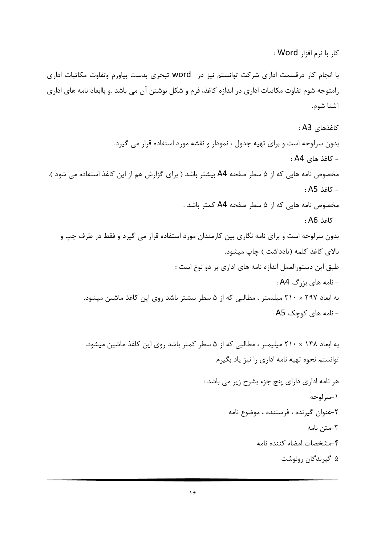کا, یا نرم افزا, Word :

با انجام کار درقسمت اداری شرکت توانستم نیز در word تبحری بدست بیاورم وتفاوت مکاتبات اداری رامتوجه شوم تفاوت مكاتبات اداري در اندازه كاغذ، فرم و شكل نوشتن آن مي باشد .و باابعاد نامه هاي اداري آشنا شوم.

كاغذهاي A3: بدون سرلوحه است و برای تهیه جدول ، نمودار و نقشه مورد استفاده قرار می گیرد. - کاغذ های A4 : مخصوص نامه هایی که از ۵ سطر صفحه A4 بیشتر باشد ( برای گزارش هم از این کاغذ استفاده می شود ). - كاغذ A5 : مخصوص نامه هایی که از ۵ سطر صفحه A4 کمتر باشد . - كاغذ A6 : بدون سرلوحه است و برای نامه نگاری بین کارمندان مورد استفاده قرار می گیرد و فقط در طرف چپ و بالای کاغذ کلمه (یادداشت ) چاپ میشود. طبق این دستورالعمل اندازه نامه های اداری بر دو نوع است :  $:AA$  خامه های بزرگ  $-$ به ابعاد ۲۹۷ × ۲۱۰ میلیمتر ، مطالبی که از ۵ سطر بیشتر باشد روی این کاغذ ماشین میشود. - نامه های کوچک A5 :

> به ابعاد ۱۴۸ × ۲۱۰ میلیمتر ، مطالبی که از ۵ سطر کمتر باشد روی این کاغذ ماشین میشود. توانستم نحوه تهيه نامه ادارى را نيز ياد بگيرم هر نامه اداري داراي پنج جزء بشرح زير مي باشد : ١-سرلوحه ۲-عنوان گیرنده ، فرستنده ، موضوع نامه ٣-متن نامه

> > ۴-مشخصات امضاء كننده نامه

۵-گیرندگان رونوشت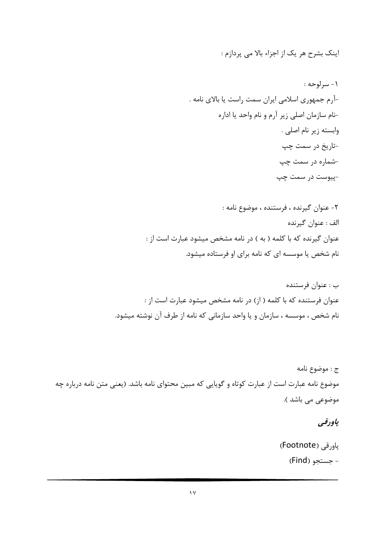اینک بشرح هر یک از اجزاء بالا می پردازم :

٢- عنوان گيرنده ، فرستنده ، موضوع نامه : الف : عنوان گيرنده عنوان گیرنده که با کلمه ( به ) در نامه مشخص میشود عبارت است از : نام شخص یا موسسه ای که نامه برای او فرستاده میشود.

ج : موضوع نامه موضوع نامه عبارت است از عبارت کوتاه و گویایی که مبین محتوای نامه باشد. (یعنی متن نامه درباره چه موضوعي مي باشد ).

## ياودقي

پاورقی (Footnote) - جستجو (Find)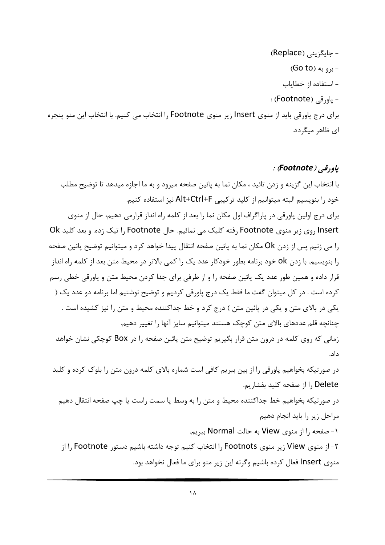- جایگزینی (Replace) - برو به (Go to) - استفاده از خطایاب - ياورقى (Footnote) : برای درج یاورقی باید از منوی Insert زیر منوی Footnote را انتخاب می کنیم. با انتخاب این منو پنجره ای ظاهر میگردد.

#### ياودقي (Footnote) :

با انتخاب این گزینه و زدن تائید ، مکان نما به پائین صفحه میرود و به ما اجازه میدهد تا توضیح مطلب خود را بنويسيم البته ميتوانيم از كليد تركيبي Alt+Ctrl+F نيز استفاده كنيم. برای درج اولین پاورقی در پاراگراف اول مکان نما را بعد از کلمه راه انداز قرارمی دهیم، حال از منوی Insert روی زیر منوی Footnote رفته کلیک می نمائیم. حال Footnote را تیک زده. و بعد کلید Ok را می زنیم پس از زدن Ok مکان نما به پائین صفحه انتقال پیدا خواهد کرد و میتوانیم توضیح پائین صفحه را بنویسیم. با زدن ok خود برنامه بطور خودکار عدد یک را کمی بالاتر در محیط متن بعد از کلمه راه انداز قرار داده و همین طور عدد یک پائین صفحه را و از طرفی برای جدا کردن محیط متن و پاورقی خطی رسم کرده است . در کل میتوان گفت ما فقط یک درج پاورقی کردیم و توضیح نوشتیم اما برنامه دو عدد یک ( یکی در بالای متن و یکی در پائین متن ) درج کرد و خط جداکننده محیط و متن را نیز کشیده است . چنانچه قلم عددهای بالای متن کوچک هستند میتوانیم سایز آنها را تغییر دهیم. زمانی که روی کلمه در درون متن قرار بگیریم توضیح متن پائین صفحه را در Box کوچکی نشان خواهد داد. در صورتیکه بخواهیم پاورقی را از بین ببریم کافی است شماره بالای کلمه درون متن را بلوک کرده و کلید l , Delete: صفحه كليد بفشاريم. در صورتيكه بخواهيم خط جداكننده محيط و متن را به وسط يا سمت راست يا چپ صفحه انتقال دهيم مراحل زير را بايد انجام دهيم ١- صفحه را از منوى View به حالت Normal ببريم. ۲- از منوی View زیر منوی Footnots را انتخاب کنیم توجه داشته باشیم دستور Footnote را از

منوی Insert فعال کرده باشیم وگرنه این زیر منو برای ما فعال نخواهد بود.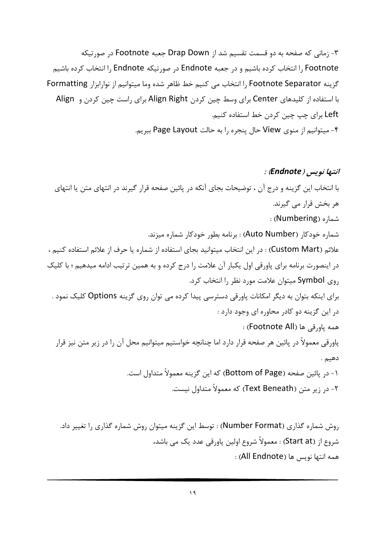۳- زمانی که صفحه به دو قسمت تقسیم شد از Drap Down جعبه Footnote در صورتیکه l, Footnote انتخاب کرده باشیم و در جعبه Endnote در صورتیکه Shanote انتخاب کرده باشیم گزينه Footnote Separator را انتخاب مي كنيم خط ظاهر شده وما ميتوانيم از نوارابزار Formatting با استفاده از کلیدهای Center برای وسط چین کردن Align Right برای راست چین کردن و Align Left برای چپ چین کردن خط استفاده کنیم. ۴- میتوانیم از منوی View حال پنجره را به حالت Page Layout ببریم.

انتبها نویس (Endnote) : با انتخاب این گزینه و درج آن ، توضیحات بجای آنکه در پائین صفحه قرار گیرند در انتهای متن یا انتهای ھر بخش قرار مے گیرند. شما, ه (Numbering) : شماره خودکار (Auto Number) : برنامه بطور خودکار شماره میزند. علائم (Custom Mart) : در اين انتخاب ميتوانيد بجاي استفاده از شماره يا حرف از علائم استفاده كنيم ، در اینصورت برنامه برای پاورقی اول یکبار آن علامت را درج کرده و به همین ترتیب ادامه میدهیم ؛ با کلیک روی Symbol میتوان علامت مورد نظر را انتخاب کرد. برای اینکه بتوان به دیگر امکانات پاورقی دسترسی پیدا کرده می توان روی گزینه Options کلیک نمود . در این گزینه دو کادر محاوره ای وجود دارد : همه باورقي ها (Footnote All): پاورقی معمولاً در پائین هر صفحه قرار دارد اما چنانچه خواستیم میتوانیم محل آن را در زیر متن نیز قرار دهيم . ۱- در يائين صفحه (Bottom of Page) كه اين گزينه معمولاً متداول است. ۲- در زیر متن (Text Beneath) که معمولاً متداول نیست.

روش شماره گذاری (Number Format) : توسط این گزینه میتوان روش شماره گذاری را تغییر داد. شروع از (Start at) : معمولاً شروع اولین یاورقی عدد یک می باشد، همه انتها نويس ها (All Endnote) :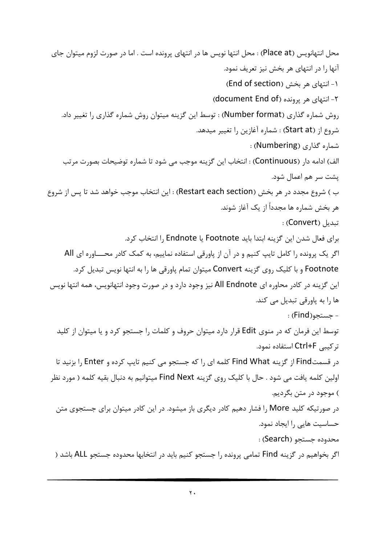محل انتهانويس (Place at) : محل انتها نويس ها در انتهاى يرونده است . اما در صورت لزوم ميتوان جاي آنها را در انتهای هر بخش نیز تعریف نمود. ۱- انتهای هر بخش (End of section) ۲- انتهای هر یرونده (document End of) روش شماره گذاری (Number format) : توسط این گزینه میتوان روش شماره گذاری را تغییر داد. شروع از (Start at) : شماره آغازين را تغيير ميدهد. شماره گذاری (Numbering) : الف) ادامه دار (Continuous) : انتخاب این گزینه موجب می شود تا شماره توضیحات بصورت مرتب پشت سر هم اعمال شود. ب ) شروع مجدد در هر بخش (Restart each section) : این انتخاب موجب خواهد شد تا پس از شروع هر بخش شماره ها مجدداً از یک آغاز شوند. : تىدىل (Convert) : براي فعال شدن اين گزينه ابتدا بايد Footnote يا Endnote انتخاب كرد. اگر یک پرونده را کامل تایپ کنیم و در آن از پاورقی استفاده نماییم، به کمک کادر محـاوره ای All Footnote و با کلیک روی گزینه Convert میتوان تمام یاورقی ها را به انتها نویس تبدیل کرد. این گزینه در کادر محاوره ای All Endnote نیز وجود دارد و در صورت وجود انتهانویس، همه انتها نویس ها را به پاورقی تبدیل می کند. - حستحو(Find) : توسط این فرمان که در منوی Edit قرار دارد میتوان حروف و کلمات را جستجو کرد و یا میتوان از کلید تر کیبی Ctrl+F استفاده نمود. در قسمتFind از گزینه Find What کلمه ای را که جستجو می کنیم تایپ کرده و Enter را بزنید تا اولین کلمه یافت می شود . حال با کلیک روی گزینه Find Next میتوانیم به دنبال بقیه کلمه ( مورد نظر ) موجود در متن بگرديم. در صورتیکه کلید More را فشار دهیم کادر دیگری باز میشود. در این کادر میتوان برای جستجوی متن حساسیت هایی را ایجاد نمود. محدوده جستجو (Search) : اگر بخواهیم در گزینه Find تمامی پرونده را جستجو کنیم باید در انتخابها محدوده جستجو ALL باشد (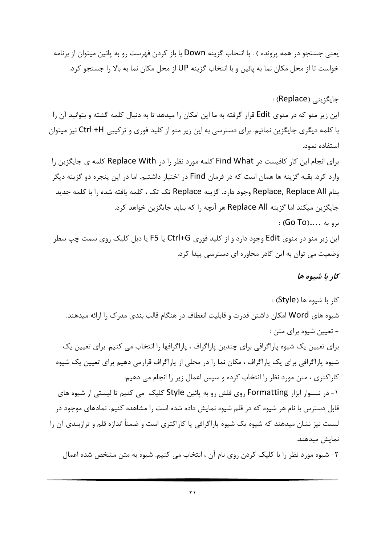یعنی جستجو در همه پرونده ) . با انتخاب گزینه Down با باز کردن فهرست رو به پائین میتوان از برنامه خواست تا از محل مکان نما به پائین و با انتخاب گزینه UP از محل مکان نما به بالا را جستجو کرد.

جایگزینے (Replace) : این زیر منو که در منوی Edit قرار گرفته به ما این امکان را میدهد تا به دنبال کلمه گشته و بتوانید آن را با کلمه دیگری جایگزین نمائیم. برای دسترسی به این زیر منو از کلید فوری و ترکیبی Ctrl +H نیز میتوان استفاده نمود.

برای انجام این کار کافیست در Find What کلمه مورد نظر را در Replace With کلمه ی جایگزین را وارد کرد. بقیه گزینه ها همان است که در فرمان Find در اختیار داشتیم. اما در این پنجره دو گزینه دیگر بنام Replace, Replace All وجود دارد. گزینه Replace تک تک ، کلمه یافته شده را با کلمه جدید جايگزين ميكند اما گزينه Replace All هر آنچه را كه بيابد جايگزين خواهد كرد.  $(GO$  TO)..... (40

این زیر منو در منوی Edit وجود دارد و از کلید فوری Ctrl+G یا F5 یا دبل کلیک روی سمت چپ سطر وضعیت می توان به این کادر محاوره ای دسترسی پیدا کرد.

كار با شيوه ها

کار با شیوه ها (Style) : شیوه های Word امکان داشتن قدرت و قابلیت انعطاف در هنگام قالب بندی مدرک ۱٫ارائه میدهند. - تعیین شیوه برای متن : برای تعیین یک شیوه پاراگرافی برای چندین پاراگراف ، پاراگرافها را انتخاب می کنیم. برای تعیین یک شیوه پاراگرافی برای یک پاراگراف ، مکان نما را در محلی از پاراگراف قرارمی دهیم برای تعیین یک شیوه کاراکتری ، متن مورد نظر را انتخاب کرده و سپس اعمال زیر را انجام می دهیم: ۱- در نـــوار ابزار Formatting روی فلش رو به پائین Style کلیک می کنیم تا لیستی از شیوه های قابل دسترس با نام هر شیوه که در قلم شیوه نمایش داده شده است را مشاهده کنیم. نمادهای موجود در لیست نیز نشان میدهند که شیوه یک شیوه پاراگرافی یا کاراکتری است و ضمناً اندازه قلم و ترازبندی آن را نمايش ميدهند.

٢- شيوه مورد نظر را با كليک کردن روي نام آن ، انتخاب مي کنيم. شيوه به متن مشخص شده اعمال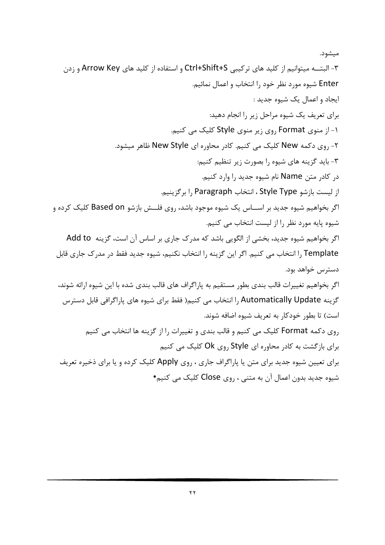ميشود. ۳- البتــه میتوانیم از کلید های ترکیبی Ctrl+Shift+S و استفاده از کلید های Arrow Key و زدن Enter شیوه مورد نظر خود را انتخاب و اعمال نمائیم. ايجاد و اعمال يک شيوه جديد : برای تعریف یک شیوه مراحل زیر را انجام دهید: ۱- از منوی Format ,وی زیر منوی Style کلیک می کنیم. ۲- روی دکمه New کلیک می کنیم. کادر محاوره ای New Style ظاهر میشود. ۳- باید گزینه های شیوه ,ا بصورت زیر تنظیم کنیم: در کادر متن Name نام شیوه جدید را وارد کنیم. از لیست بازشو Style Type ، انتخاب Paragraph , ا بر گزینیم. اگر بخواهیم شیوه جدید بر اســـاس یک شیوه موجود باشد، روی فلـــش بازشو Based on کلیک کرده و شیوه یایه مورد نظر را از لیست انتخاب می کنیم. اگر بخواهیم شیوه جدید، بخشی از الگویی باشد که مدرک جاری بر اساس آن است، گزینه Add to Template را انتخاب می کنیم. اگر این گزینه را انتخاب نکنیم، شیوه جدید فقط در مدرک جاری قابل دسترس خواهد بود. اگر بخواهیم تغییرات قالب بندی بطور مستقیم به پاراگراف های قالب بندی شده با این شیوه ارائه شوند، گزینه Automatically Update ,ا انتخاب می کنیم( فقط برای شیوه های پاراگرافی قابل دسترس است) تا بطور خودکار به تعریف شیوه اضافه شوند. روی دکمه Format کلیک می کنیم و قالب بندی و تغییرات را از گزینه ها انتخاب می کنیم برای بازگشت به کادر محاوره ای Style روی Ok کلیک می کنیم برای تعیین شیوه جدید برای متن یا پاراگراف جاری ، روی Apply کلیک کرده و یا برای ذخیره تعریف شیوہ جدید بدون اعمال آن به متنی ، روی Close کلیک می کنیم•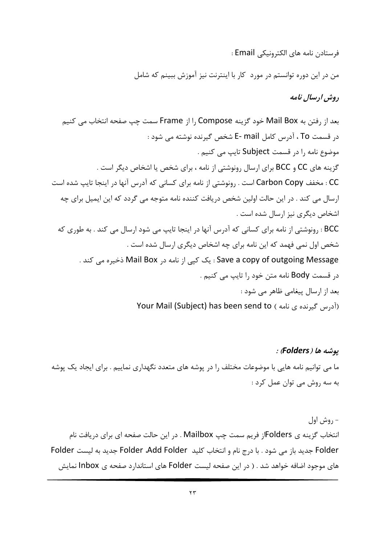فرستادن نامه هاي الكترونيكي Email :

من در این دوره توانستم در مورد کار با اینترنت نیز آموزش ببینم که شامل

دوش ادىسال نامە

بعد از رفتن به Mail Box خود گزینه Srame از Frame سمت چپ صفحه انتخاب می کنیم در قسمت To ، آدرس كامل E- mail شخص گيرنده نوشته مي شود : موضوع نامه را در قسمت Subject تایپ می کنیم . گزینه های CC و BCC برای ارسال رونوشتی از نامه ، برای شخص یا اشخاص دیگر است . CC : مخفف Carbon Copy است . رونوشتي از نامه براي كساني كه آدرس آنها در اينجا تايپ شده است ارسال می کند . در این حالت اولین شخص دریافت کننده نامه متوجه می گردد که این ایمیل برای چه اشخاص دیگری نیز ارسال شده است . BCC : رونوشتی از نامه برای کسانی که آدرس آنها در اینجا تایپ می شود ارسال می کند . به طوری که شخص اول نمی فهمد که این نامه برای چه اشخاص دیگری ارسال شده است . Save a copy of outgoing Message : یک کیے از نامه در Mail Box ذخیرہ می کند . در قسمت Body نامه متن خود را تايپ مي كنيم . بعد از ارسال پیغامی ظاهر می شود : Your Mail (Subject) has been send to ( آدرس گیرنده ی نامه)

یوشه ها (Folders) : ما می توانیم نامه هایی با موضوعات مختلف را در پوشه های متعدد نگهداری نماییم . برای ایجاد یک پوشه به سه روش می توان عمل کرد :

– روش اول انتخاب گزینه ی Folders; فریم سمت چپ Mailbox . در این حالت صفحه ای برای دریافت نام Folder جديد باز مي شود . با درج نام و انتخاب كليد Folder ،Add Folder جديد به ليست Folder های موجود اضافه خواهد شد . ( در این صفحه لیست Folder های استاندارد صفحه ی Inbox نمایش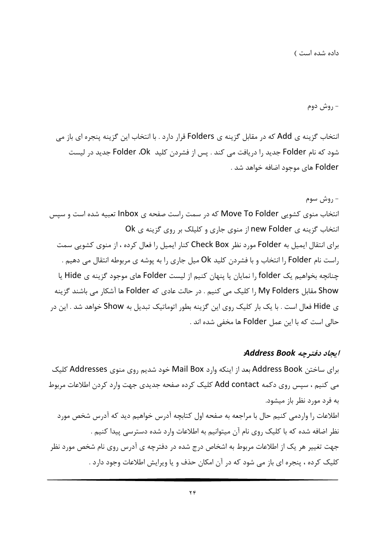- روش دوم

انتخاب گزینه ی Add که در مقابل گزینه ی Folders قرار دارد . با انتخاب این گزینه پنجره ای باز می شود که نام Folder جدید را دریافت می کند . پس از فشردن کلید Folder ،Ok جدید در لیست Folder های موجود اضافه خواهد شد .

#### – روش سوم

انتخاب منوی کشویی Move To Folder که در سمت راست صفحه ی Inbox تعبیه شده است و سپس انتخاب گزینه ی new Folder از منوی جاری و کلیلک بر روی گزینه ی Ok برای انتقال ایمیل به Folder مورد نظر Check Box کنار ایمیل را فعال کرده ، از منوی کشویی سمت راست نام Folder را انتخاب و با فشردن کلید Ok میل جاری را به پوشه ی مربوطه انتقال می دهیم . چنانچه بخواهیم یک folder را نمایان یا پنهان کنیم از لیست Folder های موجود گزینه ی Hide یا Show مقابل My Folders را كليك مي كنيم . در حالت عادي كه Folder ها آشكار مي باشند گزينه ی Hide فعال است . با یک بار کلیک روی این گزینه بطور اتوماتیک تبدیل به Show خواهد شد . این در حالي است كه با اين عمل Folder ها مخفى شده اند .

#### ابجاد دفترچه Address Book

برای ساختن Address Book بعد از اینکه وارد Mail Box خود شدیم روی منوی Addresses کلیک می کنیم ، سپس روی دکمه Add contact کلیک کرده صفحه جدیدی جهت وارد کردن اطلاعات مربوط به فرد مورد نظر باز میشود. اطلاعات را واردمی کنیم حال با مراجعه به صفحه اول کتابچه آدرس خواهیم دید که آدرس شخص مورد نظر اضافه شده که با کلیک روی نام آن میتوانیم به اطلاعات وارد شده دسترسی پیدا کنیم . جهت تغییر هر یک از اطلاعات مربوط به اشخاص درج شده در دفترچه ی آدرس روی نام شخص مورد نظر کلیک کرده ، پنجره ای باز می شود که در آن امکان حذف و یا ویرایش اطلاعات وجود دارد .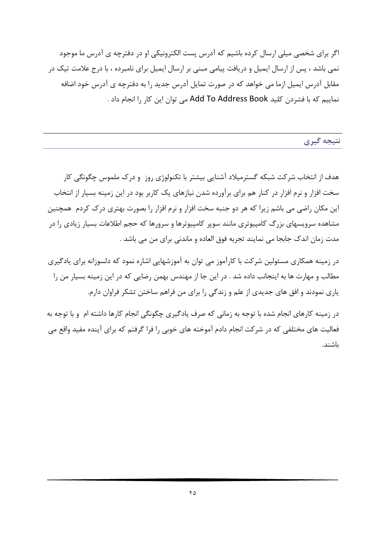اگر برای شخصی میلی ارسال کرده باشیم که آدرس پست الکترونیکی او در دفترچه ی آدرس ما موجود نمی باشد ، پس از ارسال ایمیل و دریافت پیامی مبنی بر ارسال ایمیل برای نامبرده ، با درج علامت تیک در مقابل آدرس ایمیل ازما می خواهد که در صورت تمایل آدرس جدید را به دفترچه ی آدرس خود اضافه نماییم که با فشردن کلید Add To Address Book می توان این کار را انجام داد .

نتيجه گيري

هدف از انتخاب شرکت شبکه گسترمیلاد آشنایی بیشتر با تکنولوژی روز و درک ملموس چگونگی کار سخت افزار و نرم افزار در کنار هم برای برآورده شدن نیازهای یک کاربر بود در این زمینه بسیار از انتخاب این مکان راضی می باشم زیرا که هر دو جنبه سخت افزار و نرم افزار را بصورت بهتری درک کردم ِ همچنین مشاهده سرویسهای بزرگ کامپیوتری مانند سویر کامپیوترها و سرورها که حجم اطلاعات بسیار زیادی را در مدت زمان اندک جابجا می نمایند تجربه فوق العاده و ماندنی برای من می باشد .

در زمینه همکاری مسئولین شرکت با کارآموز می توان به آموزشهایی اشاره نمود که دلسوزانه برای یادگیری مطالب و مهارت ها به اینجانب داده شد . در این جا از مهندس بهمن رضایی که در این زمینه بسیار من را یاری نمودند و افق های جدیدی از علم و زندگی را برای من فراهم ساختن تشکر فراوان دارم.

در زمینه کارهای انجام شده با توجه به زمانی که صرف یادگیری چگونگی انجام کارها داشته ام و با توجه به فعالیت های مختلفی که در شرکت انجام دادم آموخته های خوبی را فرا گرفتم که برای آینده مفید واقع می باشند.